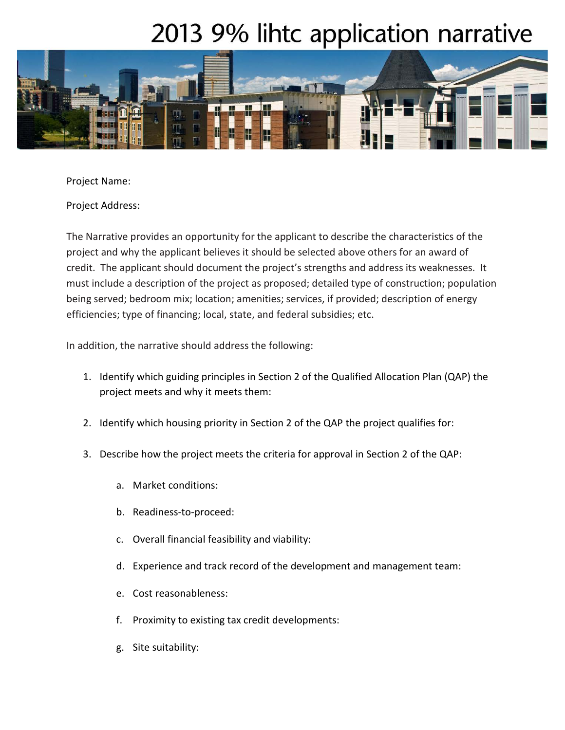## 2013 9% lihtc application narrative



Project Name:

Project Address:

The Narrative provides an opportunity for the applicant to describe the characteristics of the project and why the applicant believes it should be selected above others for an award of credit. The applicant should document the project's strengths and address its weaknesses. It must include a description of the project as proposed; detailed type of construction; population being served; bedroom mix; location; amenities; services, if provided; description of energy efficiencies; type of financing; local, state, and federal subsidies; etc.

In addition, the narrative should address the following:

- 1. Identify which guiding principles in Section 2 of the Qualified Allocation Plan (QAP) the project meets and why it meets them:
- 2. Identify which housing priority in Section 2 of the QAP the project qualifies for:
- 3. Describe how the project meets the criteria for approval in Section 2 of the QAP:
	- a. Market conditions:
	- b. Readiness-to-proceed:
	- c. Overall financial feasibility and viability:
	- d. Experience and track record of the development and management team:
	- e. Cost reasonableness:
	- f. Proximity to existing tax credit developments:
	- g. Site suitability: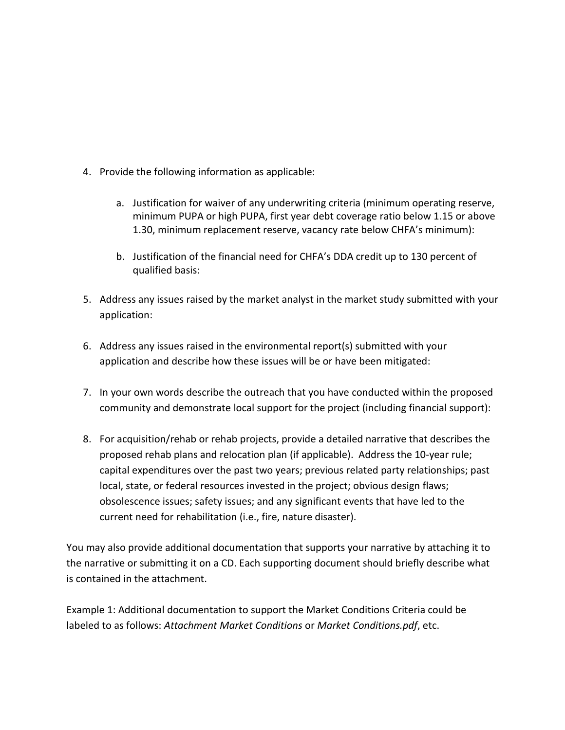- 4. Provide the following information as applicable:
	- a. Justification for waiver of any underwriting criteria (minimum operating reserve, minimum PUPA or high PUPA, first year debt coverage ratio below 1.15 or above 1.30, minimum replacement reserve, vacancy rate below CHFA's minimum):
	- b. Justification of the financial need for CHFA's DDA credit up to 130 percent of qualified basis:
- 5. Address any issues raised by the market analyst in the market study submitted with your application:
- 6. Address any issues raised in the environmental report(s) submitted with your application and describe how these issues will be or have been mitigated:
- 7. In your own words describe the outreach that you have conducted within the proposed community and demonstrate local support for the project (including financial support):
- 8. For acquisition/rehab or rehab projects, provide a detailed narrative that describes the proposed rehab plans and relocation plan (if applicable). Address the 10-year rule; capital expenditures over the past two years; previous related party relationships; past local, state, or federal resources invested in the project; obvious design flaws; obsolescence issues; safety issues; and any significant events that have led to the current need for rehabilitation (i.e., fire, nature disaster).

You may also provide additional documentation that supports your narrative by attaching it to the narrative or submitting it on a CD. Each supporting document should briefly describe what is contained in the attachment.

Example 1: Additional documentation to support the Market Conditions Criteria could be labeled to as follows: *Attachment Market Conditions* or *Market Conditions.pdf*, etc.